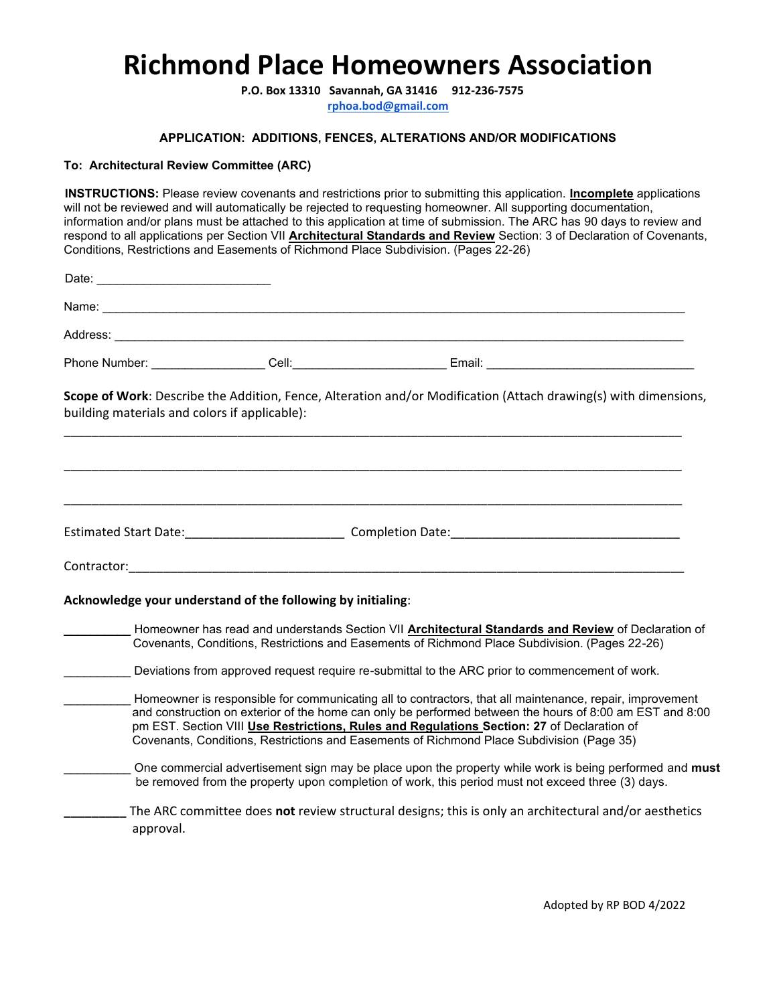# **Richmond Place Homeowners Association**

**P.O. Box 13310 Savannah, GA 31416 912-236-7575 rphoa.bod@gmail.com**

### **APPLICATION: ADDITIONS, FENCES, ALTERATIONS AND/OR MODIFICATIONS**

## **To: Architectural Review Committee (ARC)**

**INSTRUCTIONS:** Please review covenants and restrictions prior to submitting this application. **Incomplete** applications will not be reviewed and will automatically be rejected to requesting homeowner. All supporting documentation, information and/or plans must be attached to this application at time of submission. The ARC has 90 days to review and respond to all applications per Section VII **Architectural Standards and Review** Section: 3 of Declaration of Covenants, Conditions, Restrictions and Easements of Richmond Place Subdivision. (Pages 22-26)

| building materials and colors if applicable):                                                                                                                                                         |                                                             |                                                                                                                                                                                         | Scope of Work: Describe the Addition, Fence, Alteration and/or Modification (Attach drawing(s) with dimensions,                                                                                                      |  |
|-------------------------------------------------------------------------------------------------------------------------------------------------------------------------------------------------------|-------------------------------------------------------------|-----------------------------------------------------------------------------------------------------------------------------------------------------------------------------------------|----------------------------------------------------------------------------------------------------------------------------------------------------------------------------------------------------------------------|--|
|                                                                                                                                                                                                       |                                                             |                                                                                                                                                                                         |                                                                                                                                                                                                                      |  |
|                                                                                                                                                                                                       |                                                             |                                                                                                                                                                                         |                                                                                                                                                                                                                      |  |
|                                                                                                                                                                                                       |                                                             |                                                                                                                                                                                         |                                                                                                                                                                                                                      |  |
|                                                                                                                                                                                                       | Acknowledge your understand of the following by initialing: |                                                                                                                                                                                         |                                                                                                                                                                                                                      |  |
| Homeowner has read and understands Section VII Architectural Standards and Review of Declaration of<br>Covenants, Conditions, Restrictions and Easements of Richmond Place Subdivision. (Pages 22-26) |                                                             |                                                                                                                                                                                         |                                                                                                                                                                                                                      |  |
|                                                                                                                                                                                                       |                                                             | Deviations from approved request require re-submittal to the ARC prior to commencement of work.                                                                                         |                                                                                                                                                                                                                      |  |
|                                                                                                                                                                                                       |                                                             | pm EST. Section VIII Use Restrictions, Rules and Regulations Section: 27 of Declaration of<br>Covenants, Conditions, Restrictions and Easements of Richmond Place Subdivision (Page 35) | Homeowner is responsible for communicating all to contractors, that all maintenance, repair, improvement<br>and construction on exterior of the home can only be performed between the hours of 8:00 am EST and 8:00 |  |
|                                                                                                                                                                                                       |                                                             | be removed from the property upon completion of work, this period must not exceed three (3) days.                                                                                       | One commercial advertisement sign may be place upon the property while work is being performed and must                                                                                                              |  |
| approval.                                                                                                                                                                                             |                                                             |                                                                                                                                                                                         | The ARC committee does not review structural designs; this is only an architectural and/or aesthetics                                                                                                                |  |